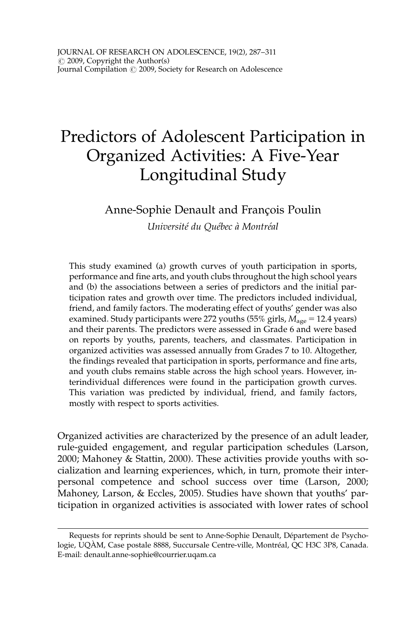# Predictors of Adolescent Participation in Organized Activities: A Five-Year Longitudinal Study

# Anne-Sophie Denault and François Poulin

Université du Québec à Montréal

This study examined (a) growth curves of youth participation in sports, performance and fine arts, and youth clubs throughout the high school years and (b) the associations between a series of predictors and the initial participation rates and growth over time. The predictors included individual, friend, and family factors. The moderating effect of youths' gender was also examined. Study participants were 272 youths  $(55\% \text{ girls}, M_{\text{age}} = 12.4 \text{ years})$ and their parents. The predictors were assessed in Grade 6 and were based on reports by youths, parents, teachers, and classmates. Participation in organized activities was assessed annually from Grades 7 to 10. Altogether, the findings revealed that participation in sports, performance and fine arts, and youth clubs remains stable across the high school years. However, interindividual differences were found in the participation growth curves. This variation was predicted by individual, friend, and family factors, mostly with respect to sports activities.

Organized activities are characterized by the presence of an adult leader, rule-guided engagement, and regular participation schedules (Larson, 2000; Mahoney & Stattin, 2000). These activities provide youths with socialization and learning experiences, which, in turn, promote their interpersonal competence and school success over time (Larson, 2000; Mahoney, Larson, & Eccles, 2005). Studies have shown that youths' participation in organized activities is associated with lower rates of school

Requests for reprints should be sent to Anne-Sophie Denault, Département de Psychologie, UQÀM, Case postale 8888, Succursale Centre-ville, Montréal, QC H3C 3P8, Canada. E-mail: [denault.anne-sophie@courrier.uqam.ca](i:/BWUS/JORA/597/denault.anne-sophie@courrier.uqam.ca)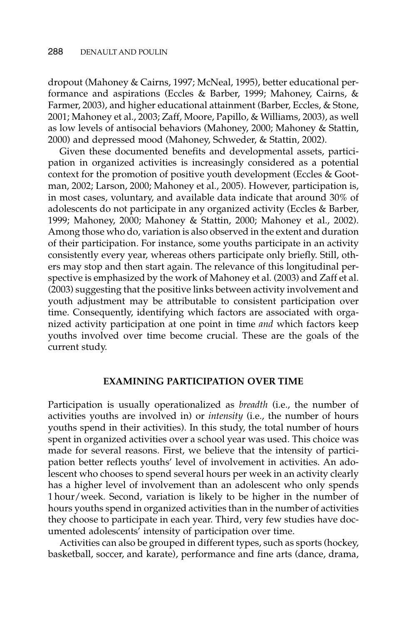dropout (Mahoney & Cairns, 1997; McNeal, 1995), better educational performance and aspirations (Eccles & Barber, 1999; Mahoney, Cairns, & Farmer, 2003), and higher educational attainment (Barber, Eccles, & Stone, 2001; Mahoney et al., 2003; Zaff, Moore, Papillo, & Williams, 2003), as well as low levels of antisocial behaviors (Mahoney, 2000; Mahoney & Stattin, 2000) and depressed mood (Mahoney, Schweder, & Stattin, 2002).

Given these documented benefits and developmental assets, participation in organized activities is increasingly considered as a potential context for the promotion of positive youth development (Eccles & Gootman, 2002; Larson, 2000; Mahoney et al., 2005). However, participation is, in most cases, voluntary, and available data indicate that around 30% of adolescents do not participate in any organized activity (Eccles & Barber, 1999; Mahoney, 2000; Mahoney & Stattin, 2000; Mahoney et al., 2002). Among those who do, variation is also observed in the extent and duration of their participation. For instance, some youths participate in an activity consistently every year, whereas others participate only briefly. Still, others may stop and then start again. The relevance of this longitudinal perspective is emphasized by the work of Mahoney et al. (2003) and Zaff et al. (2003) suggesting that the positive links between activity involvement and youth adjustment may be attributable to consistent participation over time. Consequently, identifying which factors are associated with organized activity participation at one point in time *and* which factors keep youths involved over time become crucial. These are the goals of the current study.

# EXAMINING PARTICIPATION OVER TIME

Participation is usually operationalized as *breadth* (i.e., the number of activities youths are involved in) or intensity (i.e., the number of hours youths spend in their activities). In this study, the total number of hours spent in organized activities over a school year was used. This choice was made for several reasons. First, we believe that the intensity of participation better reflects youths' level of involvement in activities. An adolescent who chooses to spend several hours per week in an activity clearly has a higher level of involvement than an adolescent who only spends 1 hour/week. Second, variation is likely to be higher in the number of hours youths spend in organized activities than in the number of activities they choose to participate in each year. Third, very few studies have documented adolescents' intensity of participation over time.

Activities can also be grouped in different types, such as sports (hockey, basketball, soccer, and karate), performance and fine arts (dance, drama,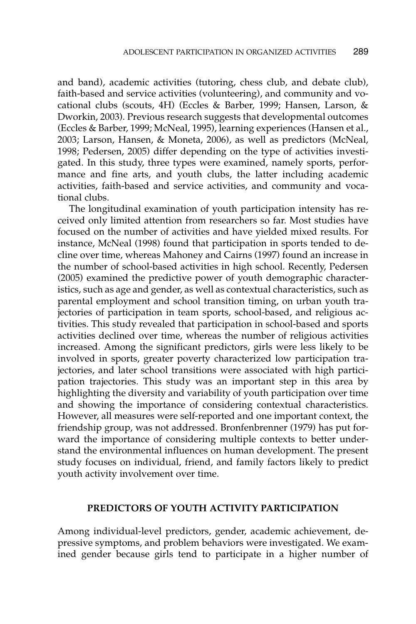and band), academic activities (tutoring, chess club, and debate club), faith-based and service activities (volunteering), and community and vocational clubs (scouts, 4H) (Eccles & Barber, 1999; Hansen, Larson, & Dworkin, 2003). Previous research suggests that developmental outcomes (Eccles & Barber, 1999; McNeal, 1995), learning experiences (Hansen et al., 2003; Larson, Hansen, & Moneta, 2006), as well as predictors (McNeal, 1998; Pedersen, 2005) differ depending on the type of activities investigated. In this study, three types were examined, namely sports, performance and fine arts, and youth clubs, the latter including academic activities, faith-based and service activities, and community and vocational clubs.

The longitudinal examination of youth participation intensity has received only limited attention from researchers so far. Most studies have focused on the number of activities and have yielded mixed results. For instance, McNeal (1998) found that participation in sports tended to decline over time, whereas Mahoney and Cairns (1997) found an increase in the number of school-based activities in high school. Recently, Pedersen (2005) examined the predictive power of youth demographic characteristics, such as age and gender, as well as contextual characteristics, such as parental employment and school transition timing, on urban youth trajectories of participation in team sports, school-based, and religious activities. This study revealed that participation in school-based and sports activities declined over time, whereas the number of religious activities increased. Among the significant predictors, girls were less likely to be involved in sports, greater poverty characterized low participation trajectories, and later school transitions were associated with high participation trajectories. This study was an important step in this area by highlighting the diversity and variability of youth participation over time and showing the importance of considering contextual characteristics. However, all measures were self-reported and one important context, the friendship group, was not addressed. Bronfenbrenner (1979) has put forward the importance of considering multiple contexts to better understand the environmental influences on human development. The present study focuses on individual, friend, and family factors likely to predict youth activity involvement over time.

#### PREDICTORS OF YOUTH ACTIVITY PARTICIPATION

Among individual-level predictors, gender, academic achievement, depressive symptoms, and problem behaviors were investigated. We examined gender because girls tend to participate in a higher number of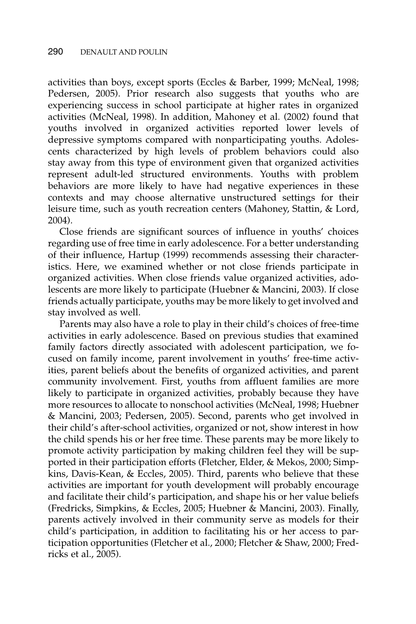activities than boys, except sports (Eccles & Barber, 1999; McNeal, 1998; Pedersen, 2005). Prior research also suggests that youths who are experiencing success in school participate at higher rates in organized activities (McNeal, 1998). In addition, Mahoney et al. (2002) found that youths involved in organized activities reported lower levels of depressive symptoms compared with nonparticipating youths. Adolescents characterized by high levels of problem behaviors could also stay away from this type of environment given that organized activities represent adult-led structured environments. Youths with problem behaviors are more likely to have had negative experiences in these contexts and may choose alternative unstructured settings for their leisure time, such as youth recreation centers (Mahoney, Stattin, & Lord, 2004).

Close friends are significant sources of influence in youths' choices regarding use of free time in early adolescence. For a better understanding of their influence, Hartup (1999) recommends assessing their characteristics. Here, we examined whether or not close friends participate in organized activities. When close friends value organized activities, adolescents are more likely to participate (Huebner & Mancini, 2003). If close friends actually participate, youths may be more likely to get involved and stay involved as well.

Parents may also have a role to play in their child's choices of free-time activities in early adolescence. Based on previous studies that examined family factors directly associated with adolescent participation, we focused on family income, parent involvement in youths' free-time activities, parent beliefs about the benefits of organized activities, and parent community involvement. First, youths from affluent families are more likely to participate in organized activities, probably because they have more resources to allocate to nonschool activities (McNeal, 1998; Huebner & Mancini, 2003; Pedersen, 2005). Second, parents who get involved in their child's after-school activities, organized or not, show interest in how the child spends his or her free time. These parents may be more likely to promote activity participation by making children feel they will be supported in their participation efforts (Fletcher, Elder, & Mekos, 2000; Simpkins, Davis-Kean, & Eccles, 2005). Third, parents who believe that these activities are important for youth development will probably encourage and facilitate their child's participation, and shape his or her value beliefs (Fredricks, Simpkins, & Eccles, 2005; Huebner & Mancini, 2003). Finally, parents actively involved in their community serve as models for their child's participation, in addition to facilitating his or her access to participation opportunities (Fletcher et al., 2000; Fletcher & Shaw, 2000; Fredricks et al., 2005).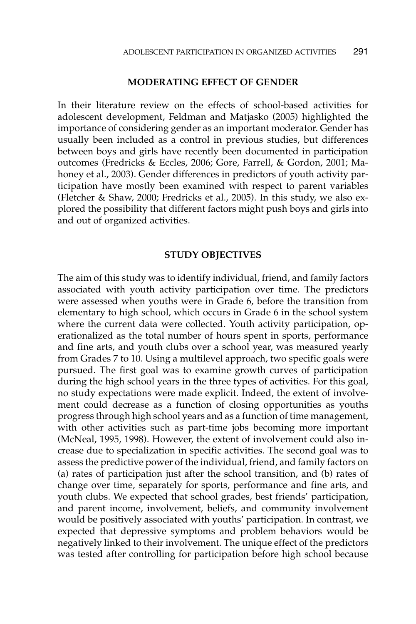## MODERATING EFFECT OF GENDER

In their literature review on the effects of school-based activities for adolescent development, Feldman and Matjasko (2005) highlighted the importance of considering gender as an important moderator. Gender has usually been included as a control in previous studies, but differences between boys and girls have recently been documented in participation outcomes (Fredricks & Eccles, 2006; Gore, Farrell, & Gordon, 2001; Mahoney et al., 2003). Gender differences in predictors of youth activity participation have mostly been examined with respect to parent variables (Fletcher & Shaw, 2000; Fredricks et al., 2005). In this study, we also explored the possibility that different factors might push boys and girls into and out of organized activities.

## STUDY OBJECTIVES

The aim of this study was to identify individual, friend, and family factors associated with youth activity participation over time. The predictors were assessed when youths were in Grade 6, before the transition from elementary to high school, which occurs in Grade 6 in the school system where the current data were collected. Youth activity participation, operationalized as the total number of hours spent in sports, performance and fine arts, and youth clubs over a school year, was measured yearly from Grades 7 to 10. Using a multilevel approach, two specific goals were pursued. The first goal was to examine growth curves of participation during the high school years in the three types of activities. For this goal, no study expectations were made explicit. Indeed, the extent of involvement could decrease as a function of closing opportunities as youths progress through high school years and as a function of time management, with other activities such as part-time jobs becoming more important (McNeal, 1995, 1998). However, the extent of involvement could also increase due to specialization in specific activities. The second goal was to assess the predictive power of the individual, friend, and family factors on (a) rates of participation just after the school transition, and (b) rates of change over time, separately for sports, performance and fine arts, and youth clubs. We expected that school grades, best friends' participation, and parent income, involvement, beliefs, and community involvement would be positively associated with youths' participation. In contrast, we expected that depressive symptoms and problem behaviors would be negatively linked to their involvement. The unique effect of the predictors was tested after controlling for participation before high school because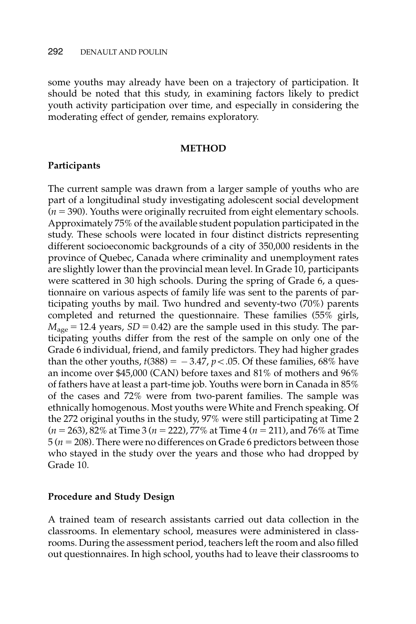### 292 DENAULT AND POULIN

some youths may already have been on a trajectory of participation. It should be noted that this study, in examining factors likely to predict youth activity participation over time, and especially in considering the moderating effect of gender, remains exploratory.

#### METHOD

#### Participants

The current sample was drawn from a larger sample of youths who are part of a longitudinal study investigating adolescent social development  $(n = 390)$ . Youths were originally recruited from eight elementary schools. Approximately 75% of the available student population participated in the study. These schools were located in four distinct districts representing different socioeconomic backgrounds of a city of 350,000 residents in the province of Quebec, Canada where criminality and unemployment rates are slightly lower than the provincial mean level. In Grade 10, participants were scattered in 30 high schools. During the spring of Grade 6, a questionnaire on various aspects of family life was sent to the parents of participating youths by mail. Two hundred and seventy-two (70%) parents completed and returned the questionnaire. These families (55% girls,  $M_{\text{age}} = 12.4$  years,  $SD = 0.42$ ) are the sample used in this study. The participating youths differ from the rest of the sample on only one of the Grade 6 individual, friend, and family predictors. They had higher grades than the other youths,  $t(388) = -3.47$ ,  $p < .05$ . Of these families, 68% have an income over \$45,000 (CAN) before taxes and 81% of mothers and 96% of fathers have at least a part-time job. Youths were born in Canada in 85% of the cases and 72% were from two-parent families. The sample was ethnically homogenous. Most youths were White and French speaking. Of the 272 original youths in the study, 97% were still participating at Time 2  $(n = 263)$ , 82% at Time 3 ( $n = 222$ ), 77% at Time 4 ( $n = 211$ ), and 76% at Time  $5 (n = 208)$ . There were no differences on Grade 6 predictors between those who stayed in the study over the years and those who had dropped by Grade 10.

#### Procedure and Study Design

A trained team of research assistants carried out data collection in the classrooms. In elementary school, measures were administered in classrooms. During the assessment period, teachers left the room and also filled out questionnaires. In high school, youths had to leave their classrooms to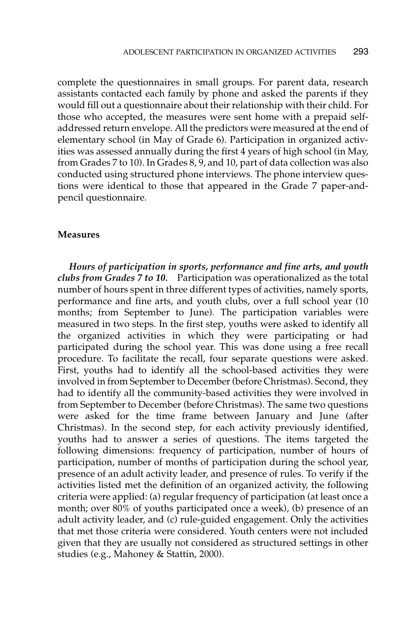complete the questionnaires in small groups. For parent data, research assistants contacted each family by phone and asked the parents if they would fill out a questionnaire about their relationship with their child. For those who accepted, the measures were sent home with a prepaid selfaddressed return envelope. All the predictors were measured at the end of elementary school (in May of Grade 6). Participation in organized activities was assessed annually during the first 4 years of high school (in May, from Grades 7 to 10). In Grades 8, 9, and 10, part of data collection was also conducted using structured phone interviews. The phone interview questions were identical to those that appeared in the Grade 7 paper-andpencil questionnaire.

#### Measures

Hours of participation in sports, performance and fine arts, and youth clubs from Grades 7 to 10. Participation was operationalized as the total number of hours spent in three different types of activities, namely sports, performance and fine arts, and youth clubs, over a full school year (10 months; from September to June). The participation variables were measured in two steps. In the first step, youths were asked to identify all the organized activities in which they were participating or had participated during the school year. This was done using a free recall procedure. To facilitate the recall, four separate questions were asked. First, youths had to identify all the school-based activities they were involved in from September to December (before Christmas). Second, they had to identify all the community-based activities they were involved in from September to December (before Christmas). The same two questions were asked for the time frame between January and June (after Christmas). In the second step, for each activity previously identified, youths had to answer a series of questions. The items targeted the following dimensions: frequency of participation, number of hours of participation, number of months of participation during the school year, presence of an adult activity leader, and presence of rules. To verify if the activities listed met the definition of an organized activity, the following criteria were applied: (a) regular frequency of participation (at least once a month; over 80% of youths participated once a week), (b) presence of an adult activity leader, and (c) rule-guided engagement. Only the activities that met those criteria were considered. Youth centers were not included given that they are usually not considered as structured settings in other studies (e.g., Mahoney & Stattin, 2000).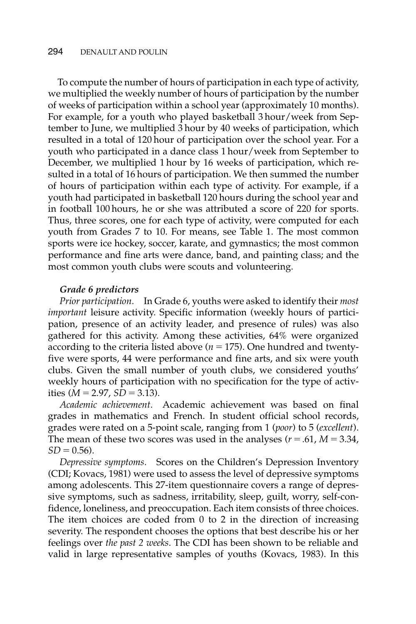## 294 DENAULT AND POULIN

To compute the number of hours of participation in each type of activity, we multiplied the weekly number of hours of participation by the number of weeks of participation within a school year (approximately 10 months). For example, for a youth who played basketball 3 hour/week from September to June, we multiplied 3 hour by 40 weeks of participation, which resulted in a total of 120 hour of participation over the school year. For a youth who participated in a dance class 1 hour/week from September to December, we multiplied 1 hour by 16 weeks of participation, which resulted in a total of 16 hours of participation. We then summed the number of hours of participation within each type of activity. For example, if a youth had participated in basketball 120 hours during the school year and in football 100 hours, he or she was attributed a score of 220 for sports. Thus, three scores, one for each type of activity, were computed for each youth from Grades 7 to 10. For means, see Table 1. The most common sports were ice hockey, soccer, karate, and gymnastics; the most common performance and fine arts were dance, band, and painting class; and the most common youth clubs were scouts and volunteering.

#### Grade 6 predictors

Prior participation. In Grade 6, youths were asked to identify their most important leisure activity. Specific information (weekly hours of participation, presence of an activity leader, and presence of rules) was also gathered for this activity. Among these activities, 64% were organized according to the criteria listed above ( $n = 175$ ). One hundred and twentyfive were sports, 44 were performance and fine arts, and six were youth clubs. Given the small number of youth clubs, we considered youths' weekly hours of participation with no specification for the type of activities  $(M = 2.97, SD = 3.13)$ .

Academic achievement. Academic achievement was based on final grades in mathematics and French. In student official school records, grades were rated on a 5-point scale, ranging from 1 (poor) to 5 (excellent). The mean of these two scores was used in the analyses  $(r = .61, M = 3.34,$  $SD = 0.56$ ).

Depressive symptoms. Scores on the Children's Depression Inventory (CDI; Kovacs, 1981) were used to assess the level of depressive symptoms among adolescents. This 27-item questionnaire covers a range of depressive symptoms, such as sadness, irritability, sleep, guilt, worry, self-confidence, loneliness, and preoccupation. Each item consists of three choices. The item choices are coded from 0 to 2 in the direction of increasing severity. The respondent chooses the options that best describe his or her feelings over the past 2 weeks. The CDI has been shown to be reliable and valid in large representative samples of youths (Kovacs, 1983). In this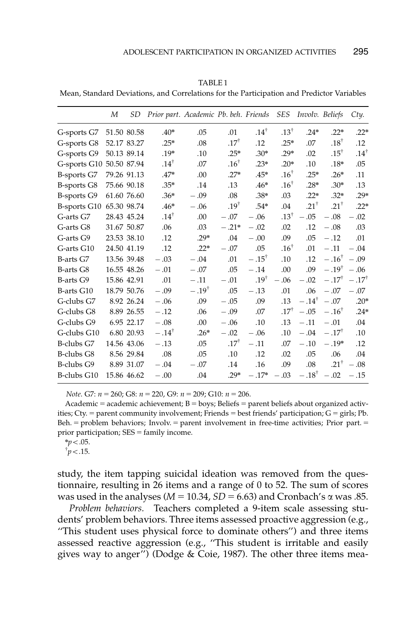| SES<br>М<br>SD<br>Prior part. Academic Pb. beh. Friends<br>Involv. Beliefs<br>Cty.<br>$.14^{\dagger}$<br>$.13^{\dagger}$<br>$.22*$<br>$.22*$<br>51.50 80.58<br>$.40*$<br>.01<br>$.24*$<br>.05<br>G-sports G7<br>$.17^{\dagger}$<br>$.25*$<br>$.18^{\dagger}$<br>$.25*$<br>.08<br>.12<br>.07<br>.12<br>G-sports G8<br>52.17 83.27<br>$.14^{\dagger}$<br>$.15^{\dagger}$<br>50.13 89.14<br>$.19*$<br>$.25*$<br>$.30*$<br>$.29*$<br>.10<br>.02<br>G-sports G9<br>$.14^{\dagger}$<br>$.16^{\dagger}$<br>50.50 87.94<br>$.23*$<br>$.20*$<br>$.18*$<br>G-sports G10<br>.07<br>.10<br>.05<br>$.16^{\dagger}$<br>B-sports G7<br>$.47*$<br>$.27*$<br>.45*<br>$.25*$<br>79.26 91.13<br>.00<br>$.26*$<br>.11<br>$.16^{\dagger}$<br>$.28*$<br>$.35*$<br>.13<br>$.46*$<br>$.30*$<br>75.66 90.18<br>.14<br>.13<br>B-sports G8<br>$-.09$<br>.08<br>$.29*$<br>61.60 76.60<br>$.38*$<br>.03<br>$.22*$<br>$.32*$<br>$.36*$<br>B-sports G9<br>$.21^{\dagger}$<br>$.19^{\dagger}$<br>$.21^{\dagger}$<br>$.22*$<br>$-.06$<br>$.54*$<br>B-sports G10<br>65.30 98.74<br>$.46*$<br>.04<br>$.13^{\dagger}$<br>$.14^{\dagger}$<br>$-.07$<br>$-.06$<br>$-.05$<br>G-arts G7<br>28.43 45.24<br>.00<br>$-.08$<br>$-.02$<br>$-.21*$<br>31.67 50.87<br>.06<br>$-.02$<br>.02<br>.12<br>$-.08$<br>G-arts G8<br>.03<br>.03<br>.12<br>$.29*$<br>.09<br>.04<br>$-.00$<br>.05<br>$-.12$<br>G-arts G9<br>23.53 38.10<br>.01<br>$.16^{\dagger}$<br>.12<br>$.22*$<br>$-.07$<br>.05<br>$-.11$<br>$-.04$<br>G-arts G10<br>24.50 41.19<br>.01<br>$-.16^{\dagger}$<br>$-.15^{\dagger}$<br>$-.03$<br>$-.04$<br>.01<br>.10<br>.12<br>$-.09$<br>B-arts G7<br>13.56 39.48<br>$-.19^{\dagger}$<br>$-.01$<br>$-.07$<br>.05<br>$-.14$<br>.00<br>$-.06$<br>B-arts G8<br>16.55 48.26<br>.09<br>$.19^{\dagger}$<br>$-.17^{\dagger}$<br>$-.17^{\dagger}$<br>.01<br>$-.11$<br>$-.01$<br>$-.02$<br>B-arts G9<br>15.86 42.91<br>.06<br>$\equiv$<br>$-.19^{\dagger}$<br>$-.09$<br>.05<br>$-.13$<br>.01<br>$-.07$<br>$-.07$<br>B-arts G10<br>18.79 50.76<br>.06<br>$-.14^{\dagger}$<br>$-.07$<br>$.20*$<br>$-.06$<br>.09<br>$-.05$<br>.09<br>.13<br>G-clubs G7<br>8.92 26.24<br>$.17^{\dagger}$<br>$-.16^{\dagger}$<br>$-.05$<br>$.24*$<br>$-.12$<br>$-.09$<br>G-clubs G8<br>8.89 26.55<br>.06<br>.07<br>$-.08$<br>$-.01$<br>G-clubs G9<br>6.95 22.17<br>.00<br>$-.06$<br>.10<br>.13<br>$-.11$<br>.04<br>$-.14^{\dagger}$<br>$-.17^{\dagger}$<br>G-clubs G10<br>6.80 20.93<br>$.26*$<br>$-.02$<br>$-.06$<br>.10<br>$-.04$<br>.10<br>$.17^{\dagger}$<br>$-.19*$<br>14.56 43.06<br>$-.13$<br>.05<br>$-.11$<br>.07<br>$-.10$<br>B-clubs G7<br>.12<br>.08<br>.10<br>.05<br>B-clubs G8<br>8.56 29.84<br>.05<br>.12<br>.02<br>.06<br>.04<br>$.21^{\dagger}$<br>$-.07$<br>$-.04$<br>.14<br>.09<br>.08<br>$-.08$<br>B-clubs G9<br>8.89 31.07<br>.16<br>$-.18^{\dagger}$<br>15.86 46.62<br>$-.00$<br>.04<br>$.29*$<br>$-.17*$<br>$-.03$<br>$-.02$<br>$-.15$<br>B-clubs G10 |  |  |  |  |  |  |
|------------------------------------------------------------------------------------------------------------------------------------------------------------------------------------------------------------------------------------------------------------------------------------------------------------------------------------------------------------------------------------------------------------------------------------------------------------------------------------------------------------------------------------------------------------------------------------------------------------------------------------------------------------------------------------------------------------------------------------------------------------------------------------------------------------------------------------------------------------------------------------------------------------------------------------------------------------------------------------------------------------------------------------------------------------------------------------------------------------------------------------------------------------------------------------------------------------------------------------------------------------------------------------------------------------------------------------------------------------------------------------------------------------------------------------------------------------------------------------------------------------------------------------------------------------------------------------------------------------------------------------------------------------------------------------------------------------------------------------------------------------------------------------------------------------------------------------------------------------------------------------------------------------------------------------------------------------------------------------------------------------------------------------------------------------------------------------------------------------------------------------------------------------------------------------------------------------------------------------------------------------------------------------------------------------------------------------------------------------------------------------------------------------------------------------------------------------------------------------------------------------------------------------------------------------------------------------------------------------------------------------------------------------------------------------------------------------------------------------------------------------------------------------------------------------------------------------------------------------------------------------------------------|--|--|--|--|--|--|
|                                                                                                                                                                                                                                                                                                                                                                                                                                                                                                                                                                                                                                                                                                                                                                                                                                                                                                                                                                                                                                                                                                                                                                                                                                                                                                                                                                                                                                                                                                                                                                                                                                                                                                                                                                                                                                                                                                                                                                                                                                                                                                                                                                                                                                                                                                                                                                                                                                                                                                                                                                                                                                                                                                                                                                                                                                                                                                      |  |  |  |  |  |  |
|                                                                                                                                                                                                                                                                                                                                                                                                                                                                                                                                                                                                                                                                                                                                                                                                                                                                                                                                                                                                                                                                                                                                                                                                                                                                                                                                                                                                                                                                                                                                                                                                                                                                                                                                                                                                                                                                                                                                                                                                                                                                                                                                                                                                                                                                                                                                                                                                                                                                                                                                                                                                                                                                                                                                                                                                                                                                                                      |  |  |  |  |  |  |
|                                                                                                                                                                                                                                                                                                                                                                                                                                                                                                                                                                                                                                                                                                                                                                                                                                                                                                                                                                                                                                                                                                                                                                                                                                                                                                                                                                                                                                                                                                                                                                                                                                                                                                                                                                                                                                                                                                                                                                                                                                                                                                                                                                                                                                                                                                                                                                                                                                                                                                                                                                                                                                                                                                                                                                                                                                                                                                      |  |  |  |  |  |  |
|                                                                                                                                                                                                                                                                                                                                                                                                                                                                                                                                                                                                                                                                                                                                                                                                                                                                                                                                                                                                                                                                                                                                                                                                                                                                                                                                                                                                                                                                                                                                                                                                                                                                                                                                                                                                                                                                                                                                                                                                                                                                                                                                                                                                                                                                                                                                                                                                                                                                                                                                                                                                                                                                                                                                                                                                                                                                                                      |  |  |  |  |  |  |
|                                                                                                                                                                                                                                                                                                                                                                                                                                                                                                                                                                                                                                                                                                                                                                                                                                                                                                                                                                                                                                                                                                                                                                                                                                                                                                                                                                                                                                                                                                                                                                                                                                                                                                                                                                                                                                                                                                                                                                                                                                                                                                                                                                                                                                                                                                                                                                                                                                                                                                                                                                                                                                                                                                                                                                                                                                                                                                      |  |  |  |  |  |  |
|                                                                                                                                                                                                                                                                                                                                                                                                                                                                                                                                                                                                                                                                                                                                                                                                                                                                                                                                                                                                                                                                                                                                                                                                                                                                                                                                                                                                                                                                                                                                                                                                                                                                                                                                                                                                                                                                                                                                                                                                                                                                                                                                                                                                                                                                                                                                                                                                                                                                                                                                                                                                                                                                                                                                                                                                                                                                                                      |  |  |  |  |  |  |
|                                                                                                                                                                                                                                                                                                                                                                                                                                                                                                                                                                                                                                                                                                                                                                                                                                                                                                                                                                                                                                                                                                                                                                                                                                                                                                                                                                                                                                                                                                                                                                                                                                                                                                                                                                                                                                                                                                                                                                                                                                                                                                                                                                                                                                                                                                                                                                                                                                                                                                                                                                                                                                                                                                                                                                                                                                                                                                      |  |  |  |  |  |  |
|                                                                                                                                                                                                                                                                                                                                                                                                                                                                                                                                                                                                                                                                                                                                                                                                                                                                                                                                                                                                                                                                                                                                                                                                                                                                                                                                                                                                                                                                                                                                                                                                                                                                                                                                                                                                                                                                                                                                                                                                                                                                                                                                                                                                                                                                                                                                                                                                                                                                                                                                                                                                                                                                                                                                                                                                                                                                                                      |  |  |  |  |  |  |
|                                                                                                                                                                                                                                                                                                                                                                                                                                                                                                                                                                                                                                                                                                                                                                                                                                                                                                                                                                                                                                                                                                                                                                                                                                                                                                                                                                                                                                                                                                                                                                                                                                                                                                                                                                                                                                                                                                                                                                                                                                                                                                                                                                                                                                                                                                                                                                                                                                                                                                                                                                                                                                                                                                                                                                                                                                                                                                      |  |  |  |  |  |  |
|                                                                                                                                                                                                                                                                                                                                                                                                                                                                                                                                                                                                                                                                                                                                                                                                                                                                                                                                                                                                                                                                                                                                                                                                                                                                                                                                                                                                                                                                                                                                                                                                                                                                                                                                                                                                                                                                                                                                                                                                                                                                                                                                                                                                                                                                                                                                                                                                                                                                                                                                                                                                                                                                                                                                                                                                                                                                                                      |  |  |  |  |  |  |
|                                                                                                                                                                                                                                                                                                                                                                                                                                                                                                                                                                                                                                                                                                                                                                                                                                                                                                                                                                                                                                                                                                                                                                                                                                                                                                                                                                                                                                                                                                                                                                                                                                                                                                                                                                                                                                                                                                                                                                                                                                                                                                                                                                                                                                                                                                                                                                                                                                                                                                                                                                                                                                                                                                                                                                                                                                                                                                      |  |  |  |  |  |  |
|                                                                                                                                                                                                                                                                                                                                                                                                                                                                                                                                                                                                                                                                                                                                                                                                                                                                                                                                                                                                                                                                                                                                                                                                                                                                                                                                                                                                                                                                                                                                                                                                                                                                                                                                                                                                                                                                                                                                                                                                                                                                                                                                                                                                                                                                                                                                                                                                                                                                                                                                                                                                                                                                                                                                                                                                                                                                                                      |  |  |  |  |  |  |
|                                                                                                                                                                                                                                                                                                                                                                                                                                                                                                                                                                                                                                                                                                                                                                                                                                                                                                                                                                                                                                                                                                                                                                                                                                                                                                                                                                                                                                                                                                                                                                                                                                                                                                                                                                                                                                                                                                                                                                                                                                                                                                                                                                                                                                                                                                                                                                                                                                                                                                                                                                                                                                                                                                                                                                                                                                                                                                      |  |  |  |  |  |  |
|                                                                                                                                                                                                                                                                                                                                                                                                                                                                                                                                                                                                                                                                                                                                                                                                                                                                                                                                                                                                                                                                                                                                                                                                                                                                                                                                                                                                                                                                                                                                                                                                                                                                                                                                                                                                                                                                                                                                                                                                                                                                                                                                                                                                                                                                                                                                                                                                                                                                                                                                                                                                                                                                                                                                                                                                                                                                                                      |  |  |  |  |  |  |
|                                                                                                                                                                                                                                                                                                                                                                                                                                                                                                                                                                                                                                                                                                                                                                                                                                                                                                                                                                                                                                                                                                                                                                                                                                                                                                                                                                                                                                                                                                                                                                                                                                                                                                                                                                                                                                                                                                                                                                                                                                                                                                                                                                                                                                                                                                                                                                                                                                                                                                                                                                                                                                                                                                                                                                                                                                                                                                      |  |  |  |  |  |  |
|                                                                                                                                                                                                                                                                                                                                                                                                                                                                                                                                                                                                                                                                                                                                                                                                                                                                                                                                                                                                                                                                                                                                                                                                                                                                                                                                                                                                                                                                                                                                                                                                                                                                                                                                                                                                                                                                                                                                                                                                                                                                                                                                                                                                                                                                                                                                                                                                                                                                                                                                                                                                                                                                                                                                                                                                                                                                                                      |  |  |  |  |  |  |
|                                                                                                                                                                                                                                                                                                                                                                                                                                                                                                                                                                                                                                                                                                                                                                                                                                                                                                                                                                                                                                                                                                                                                                                                                                                                                                                                                                                                                                                                                                                                                                                                                                                                                                                                                                                                                                                                                                                                                                                                                                                                                                                                                                                                                                                                                                                                                                                                                                                                                                                                                                                                                                                                                                                                                                                                                                                                                                      |  |  |  |  |  |  |
|                                                                                                                                                                                                                                                                                                                                                                                                                                                                                                                                                                                                                                                                                                                                                                                                                                                                                                                                                                                                                                                                                                                                                                                                                                                                                                                                                                                                                                                                                                                                                                                                                                                                                                                                                                                                                                                                                                                                                                                                                                                                                                                                                                                                                                                                                                                                                                                                                                                                                                                                                                                                                                                                                                                                                                                                                                                                                                      |  |  |  |  |  |  |
|                                                                                                                                                                                                                                                                                                                                                                                                                                                                                                                                                                                                                                                                                                                                                                                                                                                                                                                                                                                                                                                                                                                                                                                                                                                                                                                                                                                                                                                                                                                                                                                                                                                                                                                                                                                                                                                                                                                                                                                                                                                                                                                                                                                                                                                                                                                                                                                                                                                                                                                                                                                                                                                                                                                                                                                                                                                                                                      |  |  |  |  |  |  |
|                                                                                                                                                                                                                                                                                                                                                                                                                                                                                                                                                                                                                                                                                                                                                                                                                                                                                                                                                                                                                                                                                                                                                                                                                                                                                                                                                                                                                                                                                                                                                                                                                                                                                                                                                                                                                                                                                                                                                                                                                                                                                                                                                                                                                                                                                                                                                                                                                                                                                                                                                                                                                                                                                                                                                                                                                                                                                                      |  |  |  |  |  |  |
|                                                                                                                                                                                                                                                                                                                                                                                                                                                                                                                                                                                                                                                                                                                                                                                                                                                                                                                                                                                                                                                                                                                                                                                                                                                                                                                                                                                                                                                                                                                                                                                                                                                                                                                                                                                                                                                                                                                                                                                                                                                                                                                                                                                                                                                                                                                                                                                                                                                                                                                                                                                                                                                                                                                                                                                                                                                                                                      |  |  |  |  |  |  |
|                                                                                                                                                                                                                                                                                                                                                                                                                                                                                                                                                                                                                                                                                                                                                                                                                                                                                                                                                                                                                                                                                                                                                                                                                                                                                                                                                                                                                                                                                                                                                                                                                                                                                                                                                                                                                                                                                                                                                                                                                                                                                                                                                                                                                                                                                                                                                                                                                                                                                                                                                                                                                                                                                                                                                                                                                                                                                                      |  |  |  |  |  |  |
|                                                                                                                                                                                                                                                                                                                                                                                                                                                                                                                                                                                                                                                                                                                                                                                                                                                                                                                                                                                                                                                                                                                                                                                                                                                                                                                                                                                                                                                                                                                                                                                                                                                                                                                                                                                                                                                                                                                                                                                                                                                                                                                                                                                                                                                                                                                                                                                                                                                                                                                                                                                                                                                                                                                                                                                                                                                                                                      |  |  |  |  |  |  |
|                                                                                                                                                                                                                                                                                                                                                                                                                                                                                                                                                                                                                                                                                                                                                                                                                                                                                                                                                                                                                                                                                                                                                                                                                                                                                                                                                                                                                                                                                                                                                                                                                                                                                                                                                                                                                                                                                                                                                                                                                                                                                                                                                                                                                                                                                                                                                                                                                                                                                                                                                                                                                                                                                                                                                                                                                                                                                                      |  |  |  |  |  |  |
|                                                                                                                                                                                                                                                                                                                                                                                                                                                                                                                                                                                                                                                                                                                                                                                                                                                                                                                                                                                                                                                                                                                                                                                                                                                                                                                                                                                                                                                                                                                                                                                                                                                                                                                                                                                                                                                                                                                                                                                                                                                                                                                                                                                                                                                                                                                                                                                                                                                                                                                                                                                                                                                                                                                                                                                                                                                                                                      |  |  |  |  |  |  |

TABLE 1 Mean, Standard Deviations, and Correlations for the Participation and Predictor Variables

Note. G7:  $n = 260$ ; G8:  $n = 220$ , G9:  $n = 209$ ; G10:  $n = 206$ .

Academic = academic achievement;  $B = boys$ ; Beliefs = parent beliefs about organized activities; Cty. = parent community involvement; Friends = best friends' participation;  $G =$  girls; Pb. Beh. = problem behaviors; Involv. = parent involvement in free-time activities; Prior part. = prior participation;  $SES =$  family income.

 $np < 0.05$ .

 $\frac{1}{p}$  < .15.

study, the item tapping suicidal ideation was removed from the questionnaire, resulting in 26 items and a range of 0 to 52. The sum of scores was used in the analyses ( $M = 10.34$ ,  $SD = 6.63$ ) and Cronbach's  $\alpha$  was .85.

Problem behaviors. Teachers completed a 9-item scale assessing students' problem behaviors. Three items assessed proactive aggression (e.g., ''This student uses physical force to dominate others'') and three items assessed reactive aggression (e.g., ''This student is irritable and easily gives way to anger'') (Dodge & Coie, 1987). The other three items mea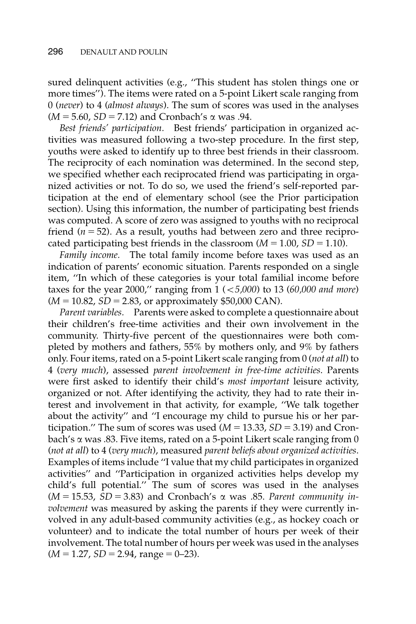sured delinquent activities (e.g., ''This student has stolen things one or more times''). The items were rated on a 5-point Likert scale ranging from 0 (never) to 4 (almost always). The sum of scores was used in the analyses  $(M = 5.60, SD = 7.12)$  and Cronbach's  $\alpha$  was .94.

Best friends' participation. Best friends' participation in organized activities was measured following a two-step procedure. In the first step, youths were asked to identify up to three best friends in their classroom. The reciprocity of each nomination was determined. In the second step, we specified whether each reciprocated friend was participating in organized activities or not. To do so, we used the friend's self-reported participation at the end of elementary school (see the Prior participation section). Using this information, the number of participating best friends was computed. A score of zero was assigned to youths with no reciprocal friend ( $n = 52$ ). As a result, youths had between zero and three reciprocated participating best friends in the classroom  $(M = 1.00, SD = 1.10)$ .

Family income. The total family income before taxes was used as an indication of parents' economic situation. Parents responded on a single item, ''In which of these categories is your total familial income before taxes for the year 2000," ranging from  $1$  ( $<$ 5,000) to 13 (60,000 and more)  $(M = 10.82, SD = 2.83, or approximately $50,000 CAN).$ 

Parent variables. Parents were asked to complete a questionnaire about their children's free-time activities and their own involvement in the community. Thirty-five percent of the questionnaires were both completed by mothers and fathers, 55% by mothers only, and 9% by fathers only. Four items, rated on a 5-point Likert scale ranging from 0 (not at all) to 4 (very much), assessed parent involvement in free-time activities. Parents were first asked to identify their child's most important leisure activity, organized or not. After identifying the activity, they had to rate their interest and involvement in that activity, for example, ''We talk together about the activity'' and ''I encourage my child to pursue his or her participation." The sum of scores was used  $(M = 13.33, SD = 3.19)$  and Cronbach's  $\alpha$  was .83. Five items, rated on a 5-point Likert scale ranging from 0 (not at all) to 4 (very much), measured parent beliefs about organized activities. Examples of items include ''I value that my child participates in organized activities'' and ''Participation in organized activities helps develop my child's full potential.'' The sum of scores was used in the analyses  $(M = 15.53, SD = 3.83)$  and Cronbach's  $\alpha$  was .85. Parent community involvement was measured by asking the parents if they were currently involved in any adult-based community activities (e.g., as hockey coach or volunteer) and to indicate the total number of hours per week of their involvement. The total number of hours per week was used in the analyses  $(M = 1.27, SD = 2.94, range = 0-23).$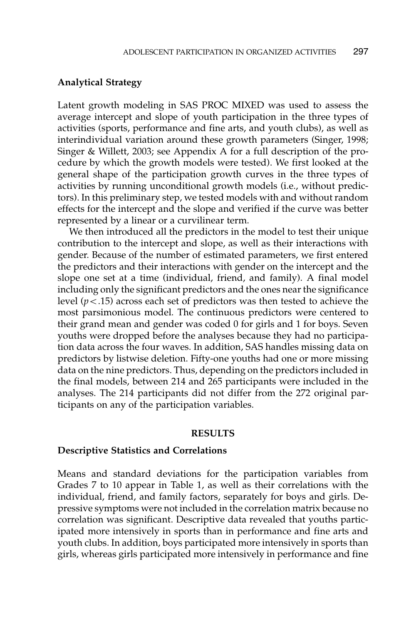## Analytical Strategy

Latent growth modeling in SAS PROC MIXED was used to assess the average intercept and slope of youth participation in the three types of activities (sports, performance and fine arts, and youth clubs), as well as interindividual variation around these growth parameters (Singer, 1998; Singer & Willett, 2003; see Appendix A for a full description of the procedure by which the growth models were tested). We first looked at the general shape of the participation growth curves in the three types of activities by running unconditional growth models (i.e., without predictors). In this preliminary step, we tested models with and without random effects for the intercept and the slope and verified if the curve was better represented by a linear or a curvilinear term.

We then introduced all the predictors in the model to test their unique contribution to the intercept and slope, as well as their interactions with gender. Because of the number of estimated parameters, we first entered the predictors and their interactions with gender on the intercept and the slope one set at a time (individual, friend, and family). A final model including only the significant predictors and the ones near the significance level ( $p < .15$ ) across each set of predictors was then tested to achieve the most parsimonious model. The continuous predictors were centered to their grand mean and gender was coded 0 for girls and 1 for boys. Seven youths were dropped before the analyses because they had no participation data across the four waves. In addition, SAS handles missing data on predictors by listwise deletion. Fifty-one youths had one or more missing data on the nine predictors. Thus, depending on the predictors included in the final models, between 214 and 265 participants were included in the analyses. The 214 participants did not differ from the 272 original participants on any of the participation variables.

### RESULTS

#### Descriptive Statistics and Correlations

Means and standard deviations for the participation variables from Grades 7 to 10 appear in Table 1, as well as their correlations with the individual, friend, and family factors, separately for boys and girls. Depressive symptoms were not included in the correlation matrix because no correlation was significant. Descriptive data revealed that youths participated more intensively in sports than in performance and fine arts and youth clubs. In addition, boys participated more intensively in sports than girls, whereas girls participated more intensively in performance and fine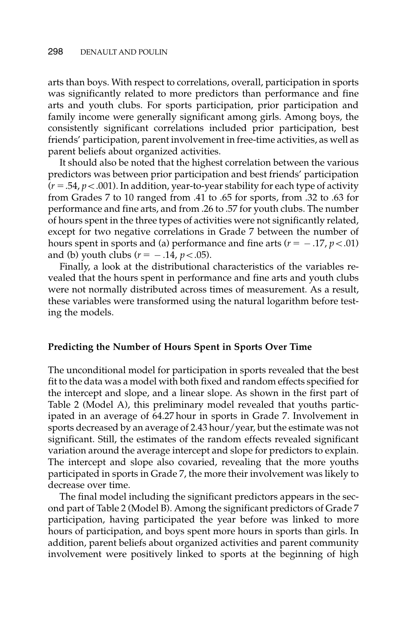arts than boys. With respect to correlations, overall, participation in sports was significantly related to more predictors than performance and fine arts and youth clubs. For sports participation, prior participation and family income were generally significant among girls. Among boys, the consistently significant correlations included prior participation, best friends' participation, parent involvement in free-time activities, as well as parent beliefs about organized activities.

It should also be noted that the highest correlation between the various predictors was between prior participation and best friends' participation  $(r = .54, p < .001)$ . In addition, year-to-year stability for each type of activity from Grades 7 to 10 ranged from .41 to .65 for sports, from .32 to .63 for performance and fine arts, and from .26 to .57 for youth clubs. The number of hours spent in the three types of activities were not significantly related, except for two negative correlations in Grade 7 between the number of hours spent in sports and (a) performance and fine arts ( $r = -.17, p < .01$ ) and (b) youth clubs  $(r = -.14, p < .05)$ .

Finally, a look at the distributional characteristics of the variables revealed that the hours spent in performance and fine arts and youth clubs were not normally distributed across times of measurement. As a result, these variables were transformed using the natural logarithm before testing the models.

#### Predicting the Number of Hours Spent in Sports Over Time

The unconditional model for participation in sports revealed that the best fit to the data was a model with both fixed and random effects specified for the intercept and slope, and a linear slope. As shown in the first part of Table 2 (Model A), this preliminary model revealed that youths participated in an average of 64.27 hour in sports in Grade 7. Involvement in sports decreased by an average of 2.43 hour/year, but the estimate was not significant. Still, the estimates of the random effects revealed significant variation around the average intercept and slope for predictors to explain. The intercept and slope also covaried, revealing that the more youths participated in sports in Grade 7, the more their involvement was likely to decrease over time.

The final model including the significant predictors appears in the second part of Table 2 (Model B). Among the significant predictors of Grade 7 participation, having participated the year before was linked to more hours of participation, and boys spent more hours in sports than girls. In addition, parent beliefs about organized activities and parent community involvement were positively linked to sports at the beginning of high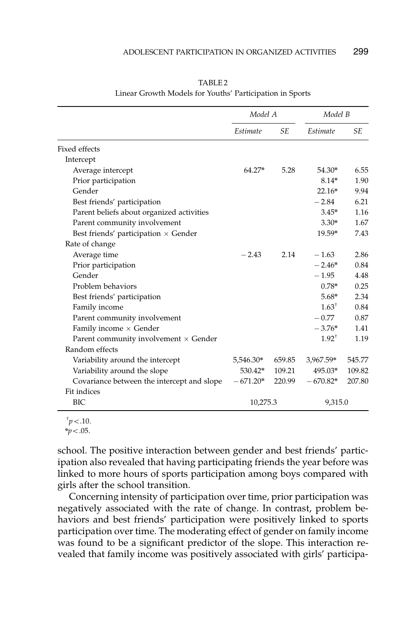|                                              | Model A    |           | Model B          |        |  |
|----------------------------------------------|------------|-----------|------------------|--------|--|
|                                              | Estimate   | <b>SE</b> | Estimate         | SE     |  |
| Fixed effects                                |            |           |                  |        |  |
| Intercept                                    |            |           |                  |        |  |
| Average intercept                            | $64.27*$   | 5.28      | 54.30*           | 6.55   |  |
| Prior participation                          |            |           | 8.14*            | 1.90   |  |
| Gender                                       |            |           | $22.16*$         | 9.94   |  |
| Best friends' participation                  |            |           | $-2.84$          | 6.21   |  |
| Parent beliefs about organized activities    |            |           | $3.45*$          | 1.16   |  |
| Parent community involvement                 |            |           | $3.30*$          | 1.67   |  |
| Best friends' participation $\times$ Gender  |            |           | 19.59*           | 7.43   |  |
| Rate of change                               |            |           |                  |        |  |
| Average time                                 | $-2.43$    | 2.14      | $-1.63$          | 2.86   |  |
| Prior participation                          |            |           | $-2.46*$         | 0.84   |  |
| Gender                                       |            |           | $-1.95$          | 4.48   |  |
| Problem behaviors                            |            |           | $0.78*$          | 0.25   |  |
| Best friends' participation                  |            |           | $5.68*$          | 2.34   |  |
| Family income                                |            |           | $1.63^{\dagger}$ | 0.84   |  |
| Parent community involvement                 |            |           | $-0.77$          | 0.87   |  |
| Family income $\times$ Gender                |            |           | $-3.76*$         | 1.41   |  |
| Parent community involvement $\times$ Gender |            |           | $1.92^{\dagger}$ | 1.19   |  |
| Random effects                               |            |           |                  |        |  |
| Variability around the intercept             | 5,546.30*  | 659.85    | 3,967.59*        | 545.77 |  |
| Variability around the slope                 | 530.42*    | 109.21    | 495.03*          | 109.82 |  |
| Covariance between the intercept and slope   | $-671.20*$ | 220.99    | $-670.82*$       | 207.80 |  |
| Fit indices                                  |            |           |                  |        |  |
| BIC                                          | 10,275.3   |           | 9,315.0          |        |  |

TABLE 2 Linear Growth Models for Youths' Participation in Sports

 $\frac{1}{p}$  < .10.

 $np < .05$ .

school. The positive interaction between gender and best friends' participation also revealed that having participating friends the year before was linked to more hours of sports participation among boys compared with girls after the school transition.

Concerning intensity of participation over time, prior participation was negatively associated with the rate of change. In contrast, problem behaviors and best friends' participation were positively linked to sports participation over time. The moderating effect of gender on family income was found to be a significant predictor of the slope. This interaction revealed that family income was positively associated with girls' participa-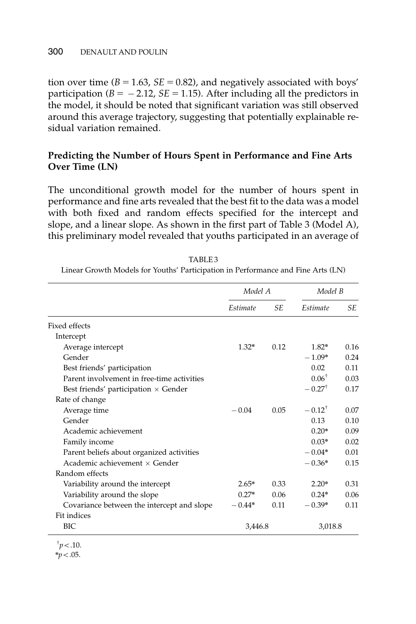## 300 DENAULT AND POULIN

tion over time ( $B = 1.63$ ,  $SE = 0.82$ ), and negatively associated with boys' participation ( $B = -2.12$ ,  $SE = 1.15$ ). After including all the predictors in the model, it should be noted that significant variation was still observed around this average trajectory, suggesting that potentially explainable residual variation remained.

# Predicting the Number of Hours Spent in Performance and Fine Arts Over Time (LN)

The unconditional growth model for the number of hours spent in performance and fine arts revealed that the best fit to the data was a model with both fixed and random effects specified for the intercept and slope, and a linear slope. As shown in the first part of Table 3 (Model A), this preliminary model revealed that youths participated in an average of

|                                             | Model A  |      | Model B           |      |
|---------------------------------------------|----------|------|-------------------|------|
|                                             | Estimate | SE.  | Estimate          | SE.  |
| Fixed effects                               |          |      |                   |      |
| Intercept                                   |          |      |                   |      |
| Average intercept                           | $1.32*$  | 0.12 | $1.82*$           | 0.16 |
| Gender                                      |          |      | $-1.09*$          | 0.24 |
| Best friends' participation                 |          |      | 0.02              | 0.11 |
| Parent involvement in free-time activities  |          |      | $0.06^{\dagger}$  | 0.03 |
| Best friends' participation $\times$ Gender |          |      | $-0.27^{\dagger}$ | 0.17 |
| Rate of change                              |          |      |                   |      |
| Average time                                | $-0.04$  | 0.05 | $-0.12^{\dagger}$ | 0.07 |
| Gender                                      |          |      | 0.13              | 0.10 |
| Academic achievement                        |          |      | $0.20*$           | 0.09 |
| Family income                               |          |      | $0.03*$           | 0.02 |
| Parent beliefs about organized activities   |          |      | $-0.04*$          | 0.01 |
| Academic achievement $\times$ Gender        |          |      | $-0.36*$          | 0.15 |
| Random effects                              |          |      |                   |      |
| Variability around the intercept            | $2.65*$  | 0.33 | $2.20*$           | 0.31 |
| Variability around the slope                | $0.27*$  | 0.06 | $0.24*$           | 0.06 |
| Covariance between the intercept and slope  | $-0.44*$ | 0.11 | $-0.39*$          | 0.11 |
| Fit indices                                 |          |      |                   |      |
| <b>BIC</b>                                  | 3,446.8  |      | 3,018.8           |      |

| TABLE 3                                                                          |
|----------------------------------------------------------------------------------|
| Linear Growth Models for Youths' Participation in Performance and Fine Arts (LN) |

 $\bar{p}$  < .10.

 $np < .05$ .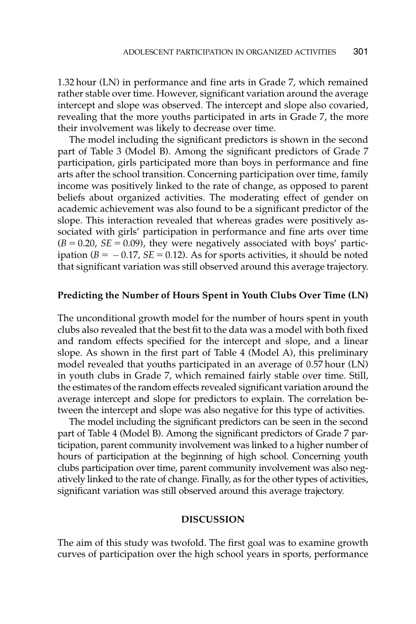1.32 hour (LN) in performance and fine arts in Grade 7, which remained rather stable over time. However, significant variation around the average intercept and slope was observed. The intercept and slope also covaried, revealing that the more youths participated in arts in Grade 7, the more their involvement was likely to decrease over time.

The model including the significant predictors is shown in the second part of Table 3 (Model B). Among the significant predictors of Grade 7 participation, girls participated more than boys in performance and fine arts after the school transition. Concerning participation over time, family income was positively linked to the rate of change, as opposed to parent beliefs about organized activities. The moderating effect of gender on academic achievement was also found to be a significant predictor of the slope. This interaction revealed that whereas grades were positively associated with girls' participation in performance and fine arts over time  $(B = 0.20, SE = 0.09)$ , they were negatively associated with boys' participation ( $B = -0.17$ ,  $SE = 0.12$ ). As for sports activities, it should be noted that significant variation was still observed around this average trajectory.

#### Predicting the Number of Hours Spent in Youth Clubs Over Time (LN)

The unconditional growth model for the number of hours spent in youth clubs also revealed that the best fit to the data was a model with both fixed and random effects specified for the intercept and slope, and a linear slope. As shown in the first part of Table 4 (Model A), this preliminary model revealed that youths participated in an average of 0.57 hour (LN) in youth clubs in Grade 7, which remained fairly stable over time. Still, the estimates of the random effects revealed significant variation around the average intercept and slope for predictors to explain. The correlation between the intercept and slope was also negative for this type of activities.

The model including the significant predictors can be seen in the second part of Table 4 (Model B). Among the significant predictors of Grade 7 participation, parent community involvement was linked to a higher number of hours of participation at the beginning of high school. Concerning youth clubs participation over time, parent community involvement was also negatively linked to the rate of change. Finally, as for the other types of activities, significant variation was still observed around this average trajectory.

#### DISCUSSION

The aim of this study was twofold. The first goal was to examine growth curves of participation over the high school years in sports, performance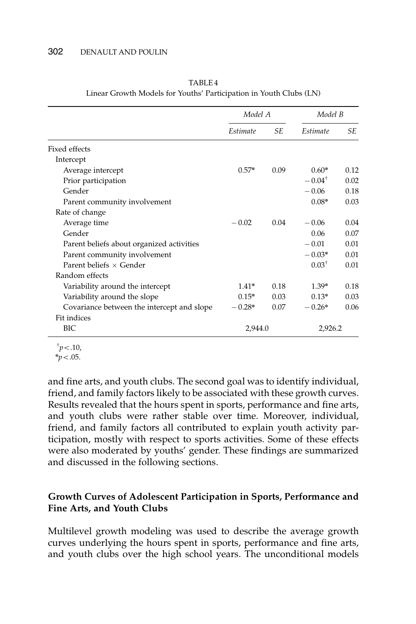|                                            | Model A  |      | Model B           |      |
|--------------------------------------------|----------|------|-------------------|------|
|                                            | Estimate | SE   | Estimate          | SE.  |
| Fixed effects                              |          |      |                   |      |
| Intercept                                  |          |      |                   |      |
| Average intercept                          | $0.57*$  | 0.09 | $0.60*$           | 0.12 |
| Prior participation                        |          |      | $-0.04^{\dagger}$ | 0.02 |
| Gender                                     |          |      | $-0.06$           | 0.18 |
| Parent community involvement               |          |      | $0.08*$           | 0.03 |
| Rate of change                             |          |      |                   |      |
| Average time                               | $-0.02$  | 0.04 | $-0.06$           | 0.04 |
| Gender                                     |          |      | 0.06              | 0.07 |
| Parent beliefs about organized activities  |          |      | $-0.01$           | 0.01 |
| Parent community involvement               |          |      | $-0.03*$          | 0.01 |
| Parent beliefs $\times$ Gender             |          |      | $0.03^{\dagger}$  | 0.01 |
| Random effects                             |          |      |                   |      |
| Variability around the intercept           | $1.41*$  | 0.18 | $1.39*$           | 0.18 |
| Variability around the slope               | $0.15*$  | 0.03 | $0.13*$           | 0.03 |
| Covariance between the intercept and slope | $-0.28*$ | 0.07 | $-0.26*$          | 0.06 |
| Fit indices                                |          |      |                   |      |
| BIC                                        | 2,944.0  |      | 2,926.2           |      |

TABLE 4 Linear Growth Models for Youths' Participation in Youth Clubs (LN)

# $\bar{p}$  < .10,

 $*_{p}<.05$ .

and fine arts, and youth clubs. The second goal was to identify individual, friend, and family factors likely to be associated with these growth curves. Results revealed that the hours spent in sports, performance and fine arts, and youth clubs were rather stable over time. Moreover, individual, friend, and family factors all contributed to explain youth activity participation, mostly with respect to sports activities. Some of these effects were also moderated by youths' gender. These findings are summarized and discussed in the following sections.

# Growth Curves of Adolescent Participation in Sports, Performance and Fine Arts, and Youth Clubs

Multilevel growth modeling was used to describe the average growth curves underlying the hours spent in sports, performance and fine arts, and youth clubs over the high school years. The unconditional models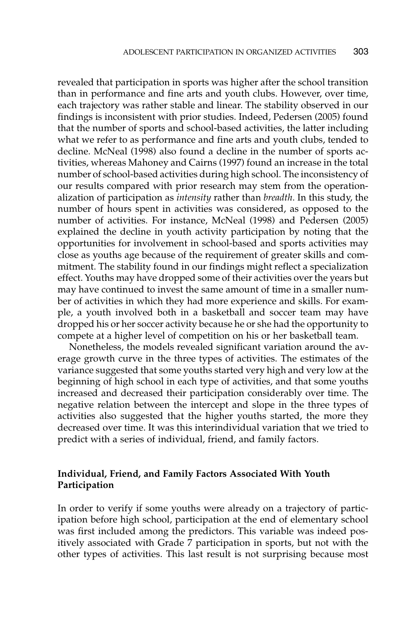revealed that participation in sports was higher after the school transition than in performance and fine arts and youth clubs. However, over time, each trajectory was rather stable and linear. The stability observed in our findings is inconsistent with prior studies. Indeed, Pedersen (2005) found that the number of sports and school-based activities, the latter including what we refer to as performance and fine arts and youth clubs, tended to decline. McNeal (1998) also found a decline in the number of sports activities, whereas Mahoney and Cairns (1997) found an increase in the total number of school-based activities during high school. The inconsistency of our results compared with prior research may stem from the operationalization of participation as *intensity* rather than *breadth*. In this study, the number of hours spent in activities was considered, as opposed to the number of activities. For instance, McNeal (1998) and Pedersen (2005) explained the decline in youth activity participation by noting that the opportunities for involvement in school-based and sports activities may close as youths age because of the requirement of greater skills and commitment. The stability found in our findings might reflect a specialization effect. Youths may have dropped some of their activities over the years but may have continued to invest the same amount of time in a smaller number of activities in which they had more experience and skills. For example, a youth involved both in a basketball and soccer team may have dropped his or her soccer activity because he or she had the opportunity to compete at a higher level of competition on his or her basketball team.

Nonetheless, the models revealed significant variation around the average growth curve in the three types of activities. The estimates of the variance suggested that some youths started very high and very low at the beginning of high school in each type of activities, and that some youths increased and decreased their participation considerably over time. The negative relation between the intercept and slope in the three types of activities also suggested that the higher youths started, the more they decreased over time. It was this interindividual variation that we tried to predict with a series of individual, friend, and family factors.

# Individual, Friend, and Family Factors Associated With Youth Participation

In order to verify if some youths were already on a trajectory of participation before high school, participation at the end of elementary school was first included among the predictors. This variable was indeed positively associated with Grade 7 participation in sports, but not with the other types of activities. This last result is not surprising because most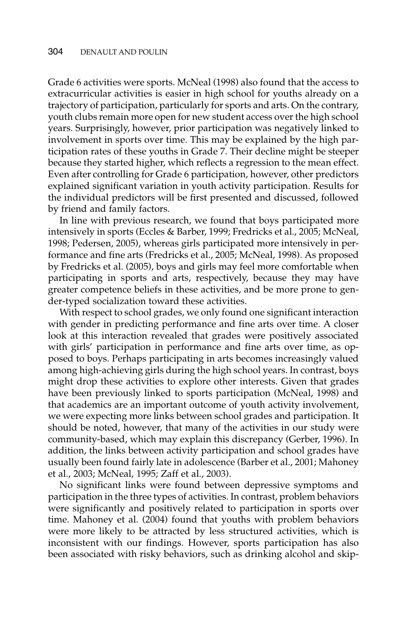Grade 6 activities were sports. McNeal (1998) also found that the access to extracurricular activities is easier in high school for youths already on a trajectory of participation, particularly for sports and arts. On the contrary, youth clubs remain more open for new student access over the high school years. Surprisingly, however, prior participation was negatively linked to involvement in sports over time. This may be explained by the high participation rates of these youths in Grade 7. Their decline might be steeper because they started higher, which reflects a regression to the mean effect. Even after controlling for Grade 6 participation, however, other predictors explained significant variation in youth activity participation. Results for the individual predictors will be first presented and discussed, followed by friend and family factors.

In line with previous research, we found that boys participated more intensively in sports (Eccles & Barber, 1999; Fredricks et al., 2005; McNeal, 1998; Pedersen, 2005), whereas girls participated more intensively in performance and fine arts (Fredricks et al., 2005; McNeal, 1998). As proposed by Fredricks et al. (2005), boys and girls may feel more comfortable when participating in sports and arts, respectively, because they may have greater competence beliefs in these activities, and be more prone to gender-typed socialization toward these activities.

With respect to school grades, we only found one significant interaction with gender in predicting performance and fine arts over time. A closer look at this interaction revealed that grades were positively associated with girls' participation in performance and fine arts over time, as opposed to boys. Perhaps participating in arts becomes increasingly valued among high-achieving girls during the high school years. In contrast, boys might drop these activities to explore other interests. Given that grades have been previously linked to sports participation (McNeal, 1998) and that academics are an important outcome of youth activity involvement, we were expecting more links between school grades and participation. It should be noted, however, that many of the activities in our study were community-based, which may explain this discrepancy (Gerber, 1996). In addition, the links between activity participation and school grades have usually been found fairly late in adolescence (Barber et al., 2001; Mahoney et al., 2003; McNeal, 1995; Zaff et al., 2003).

No significant links were found between depressive symptoms and participation in the three types of activities. In contrast, problem behaviors were significantly and positively related to participation in sports over time. Mahoney et al. (2004) found that youths with problem behaviors were more likely to be attracted by less structured activities, which is inconsistent with our findings. However, sports participation has also been associated with risky behaviors, such as drinking alcohol and skip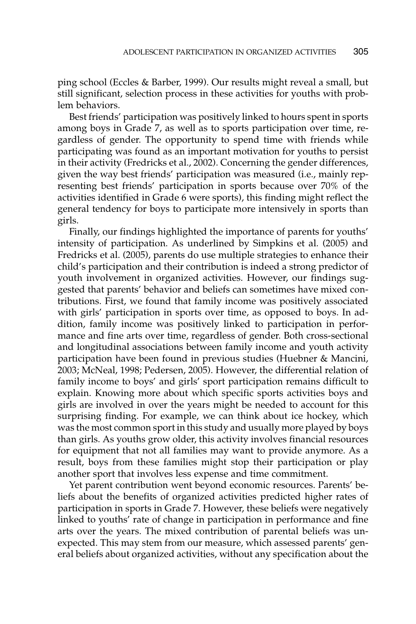ping school (Eccles & Barber, 1999). Our results might reveal a small, but still significant, selection process in these activities for youths with problem behaviors.

Best friends' participation was positively linked to hours spent in sports among boys in Grade 7, as well as to sports participation over time, regardless of gender. The opportunity to spend time with friends while participating was found as an important motivation for youths to persist in their activity (Fredricks et al., 2002). Concerning the gender differences, given the way best friends' participation was measured (i.e., mainly representing best friends' participation in sports because over 70% of the activities identified in Grade 6 were sports), this finding might reflect the general tendency for boys to participate more intensively in sports than girls.

Finally, our findings highlighted the importance of parents for youths' intensity of participation. As underlined by Simpkins et al. (2005) and Fredricks et al. (2005), parents do use multiple strategies to enhance their child's participation and their contribution is indeed a strong predictor of youth involvement in organized activities. However, our findings suggested that parents' behavior and beliefs can sometimes have mixed contributions. First, we found that family income was positively associated with girls' participation in sports over time, as opposed to boys. In addition, family income was positively linked to participation in performance and fine arts over time, regardless of gender. Both cross-sectional and longitudinal associations between family income and youth activity participation have been found in previous studies (Huebner & Mancini, 2003; McNeal, 1998; Pedersen, 2005). However, the differential relation of family income to boys' and girls' sport participation remains difficult to explain. Knowing more about which specific sports activities boys and girls are involved in over the years might be needed to account for this surprising finding. For example, we can think about ice hockey, which was the most common sport in this study and usually more played by boys than girls. As youths grow older, this activity involves financial resources for equipment that not all families may want to provide anymore. As a result, boys from these families might stop their participation or play another sport that involves less expense and time commitment.

Yet parent contribution went beyond economic resources. Parents' beliefs about the benefits of organized activities predicted higher rates of participation in sports in Grade 7. However, these beliefs were negatively linked to youths' rate of change in participation in performance and fine arts over the years. The mixed contribution of parental beliefs was unexpected. This may stem from our measure, which assessed parents' general beliefs about organized activities, without any specification about the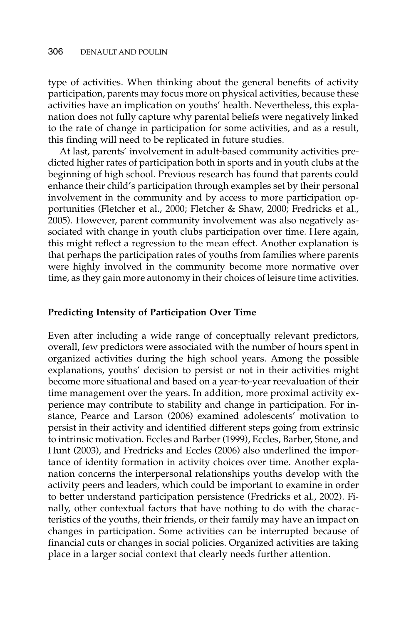type of activities. When thinking about the general benefits of activity participation, parents may focus more on physical activities, because these activities have an implication on youths' health. Nevertheless, this explanation does not fully capture why parental beliefs were negatively linked to the rate of change in participation for some activities, and as a result, this finding will need to be replicated in future studies.

At last, parents' involvement in adult-based community activities predicted higher rates of participation both in sports and in youth clubs at the beginning of high school. Previous research has found that parents could enhance their child's participation through examples set by their personal involvement in the community and by access to more participation opportunities (Fletcher et al., 2000; Fletcher & Shaw, 2000; Fredricks et al., 2005). However, parent community involvement was also negatively associated with change in youth clubs participation over time. Here again, this might reflect a regression to the mean effect. Another explanation is that perhaps the participation rates of youths from families where parents were highly involved in the community become more normative over time, as they gain more autonomy in their choices of leisure time activities.

## Predicting Intensity of Participation Over Time

Even after including a wide range of conceptually relevant predictors, overall, few predictors were associated with the number of hours spent in organized activities during the high school years. Among the possible explanations, youths' decision to persist or not in their activities might become more situational and based on a year-to-year reevaluation of their time management over the years. In addition, more proximal activity experience may contribute to stability and change in participation. For instance, Pearce and Larson (2006) examined adolescents' motivation to persist in their activity and identified different steps going from extrinsic to intrinsic motivation. Eccles and Barber (1999), Eccles, Barber, Stone, and Hunt (2003), and Fredricks and Eccles (2006) also underlined the importance of identity formation in activity choices over time. Another explanation concerns the interpersonal relationships youths develop with the activity peers and leaders, which could be important to examine in order to better understand participation persistence (Fredricks et al., 2002). Finally, other contextual factors that have nothing to do with the characteristics of the youths, their friends, or their family may have an impact on changes in participation. Some activities can be interrupted because of financial cuts or changes in social policies. Organized activities are taking place in a larger social context that clearly needs further attention.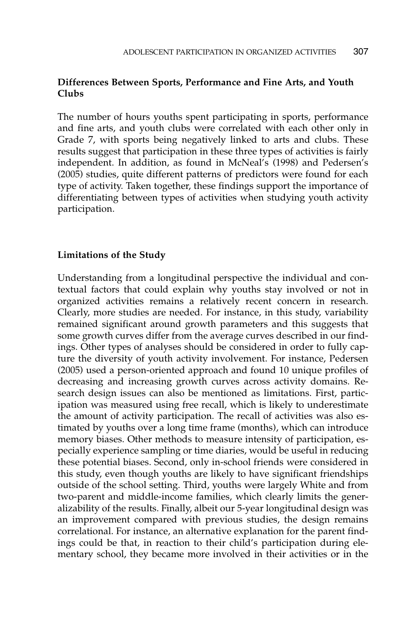# Differences Between Sports, Performance and Fine Arts, and Youth Clubs

The number of hours youths spent participating in sports, performance and fine arts, and youth clubs were correlated with each other only in Grade 7, with sports being negatively linked to arts and clubs. These results suggest that participation in these three types of activities is fairly independent. In addition, as found in McNeal's (1998) and Pedersen's (2005) studies, quite different patterns of predictors were found for each type of activity. Taken together, these findings support the importance of differentiating between types of activities when studying youth activity participation.

## Limitations of the Study

Understanding from a longitudinal perspective the individual and contextual factors that could explain why youths stay involved or not in organized activities remains a relatively recent concern in research. Clearly, more studies are needed. For instance, in this study, variability remained significant around growth parameters and this suggests that some growth curves differ from the average curves described in our findings. Other types of analyses should be considered in order to fully capture the diversity of youth activity involvement. For instance, Pedersen (2005) used a person-oriented approach and found 10 unique profiles of decreasing and increasing growth curves across activity domains. Research design issues can also be mentioned as limitations. First, participation was measured using free recall, which is likely to underestimate the amount of activity participation. The recall of activities was also estimated by youths over a long time frame (months), which can introduce memory biases. Other methods to measure intensity of participation, especially experience sampling or time diaries, would be useful in reducing these potential biases. Second, only in-school friends were considered in this study, even though youths are likely to have significant friendships outside of the school setting. Third, youths were largely White and from two-parent and middle-income families, which clearly limits the generalizability of the results. Finally, albeit our 5-year longitudinal design was an improvement compared with previous studies, the design remains correlational. For instance, an alternative explanation for the parent findings could be that, in reaction to their child's participation during elementary school, they became more involved in their activities or in the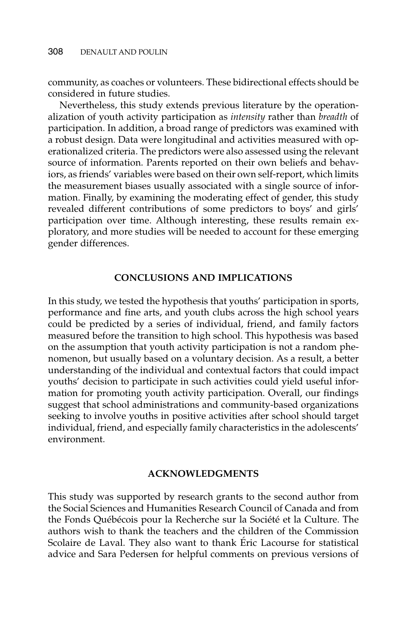community, as coaches or volunteers. These bidirectional effects should be considered in future studies.

Nevertheless, this study extends previous literature by the operationalization of youth activity participation as intensity rather than breadth of participation. In addition, a broad range of predictors was examined with a robust design. Data were longitudinal and activities measured with operationalized criteria. The predictors were also assessed using the relevant source of information. Parents reported on their own beliefs and behaviors, as friends' variables were based on their own self-report, which limits the measurement biases usually associated with a single source of information. Finally, by examining the moderating effect of gender, this study revealed different contributions of some predictors to boys' and girls' participation over time. Although interesting, these results remain exploratory, and more studies will be needed to account for these emerging gender differences.

# CONCLUSIONS AND IMPLICATIONS

In this study, we tested the hypothesis that youths' participation in sports, performance and fine arts, and youth clubs across the high school years could be predicted by a series of individual, friend, and family factors measured before the transition to high school. This hypothesis was based on the assumption that youth activity participation is not a random phenomenon, but usually based on a voluntary decision. As a result, a better understanding of the individual and contextual factors that could impact youths' decision to participate in such activities could yield useful information for promoting youth activity participation. Overall, our findings suggest that school administrations and community-based organizations seeking to involve youths in positive activities after school should target individual, friend, and especially family characteristics in the adolescents' environment.

#### ACKNOWLEDGMENTS

This study was supported by research grants to the second author from the Social Sciences and Humanities Research Council of Canada and from the Fonds Québécois pour la Recherche sur la Société et la Culture. The authors wish to thank the teachers and the children of the Commission Scolaire de Laval. They also want to thank Eric Lacourse for statistical advice and Sara Pedersen for helpful comments on previous versions of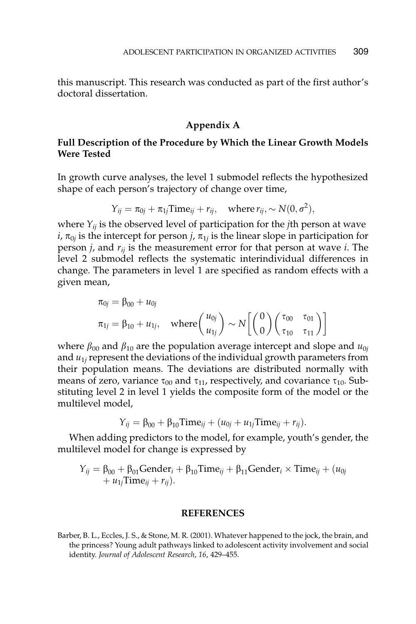this manuscript. This research was conducted as part of the first author's doctoral dissertation.

#### Appendix A

# Full Description of the Procedure by Which the Linear Growth Models Were Tested

In growth curve analyses, the level 1 submodel reflects the hypothesized shape of each person's trajectory of change over time,

$$
Y_{ij} = \pi_{0j} + \pi_{1j} \text{Time}_{ij} + r_{ij}, \quad \text{where } r_{ij}, \sim N(0, \sigma^2),
$$

where  $Y_{ij}$  is the observed level of participation for the *j*th person at wave  $i$ ,  $\pi_{0j}$  is the intercept for person  $j$ ,  $\pi_{1j}$  is the linear slope in participation for person  $j$ , and  $r_{ij}$  is the measurement error for that person at wave i. The level 2 submodel reflects the systematic interindividual differences in change. The parameters in level 1 are specified as random effects with a given mean,

$$
\pi_{0j} = \beta_{00} + u_{0j}
$$
\n
$$
\pi_{1j} = \beta_{10} + u_{1j}, \quad \text{where } \begin{pmatrix} u_{0j} \\ u_{1j} \end{pmatrix} \sim N \left[ \begin{pmatrix} 0 \\ 0 \end{pmatrix} \begin{pmatrix} \tau_{00} & \tau_{01} \\ \tau_{10} & \tau_{11} \end{pmatrix} \right]
$$

where  $\beta_{00}$  and  $\beta_{10}$  are the population average intercept and slope and  $u_{0i}$ and  $u_{1i}$  represent the deviations of the individual growth parameters from their population means. The deviations are distributed normally with means of zero, variance  $\tau_{00}$  and  $\tau_{11}$ , respectively, and covariance  $\tau_{10}$ . Substituting level 2 in level 1 yields the composite form of the model or the multilevel model,

$$
Y_{ij} = \beta_{00} + \beta_{10} \text{Time}_{ij} + (u_{0j} + u_{1j} \text{Time}_{ij} + r_{ij}).
$$

When adding predictors to the model, for example, youth's gender, the multilevel model for change is expressed by

$$
Y_{ij} = \beta_{00} + \beta_{01} \text{Gender}_{i} + \beta_{10} \text{Time}_{ij} + \beta_{11} \text{Gender}_{i} \times \text{Time}_{ij} + (u_{0j} + u_{1j} \text{Time}_{ij} + r_{ij}).
$$

#### REFERENCES

Barber, B. L., Eccles, J. S., & Stone, M. R. (2001). Whatever happened to the jock, the brain, and the princess? Young adult pathways linked to adolescent activity involvement and social identity. Journal of Adolescent Research, 16, 429–455.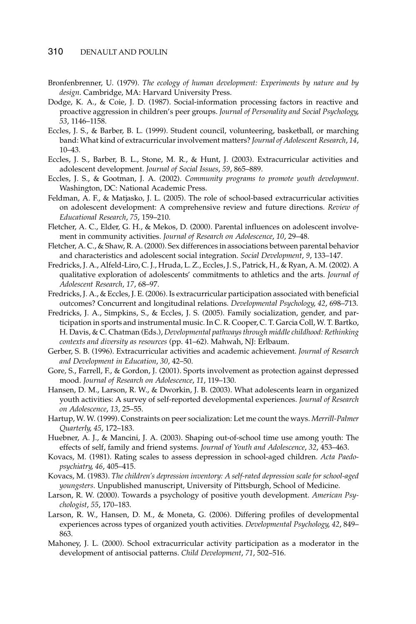- Bronfenbrenner, U. (1979). The ecology of human development: Experiments by nature and by design. Cambridge, MA: Harvard University Press.
- Dodge, K. A., & Coie, J. D. (1987). Social-information processing factors in reactive and proactive aggression in children's peer groups. Journal of Personality and Social Psychology, 53, 1146–1158.
- Eccles, J. S., & Barber, B. L. (1999). Student council, volunteering, basketball, or marching band: What kind of extracurricular involvement matters? Journal of Adolescent Research, 14, 10–43.
- Eccles, J. S., Barber, B. L., Stone, M. R., & Hunt, J. (2003). Extracurricular activities and adolescent development. Journal of Social Issues, 59, 865–889.
- Eccles, J. S., & Gootman, J. A. (2002). Community programs to promote youth development. Washington, DC: National Academic Press.
- Feldman, A. F., & Matjasko, J. L. (2005). The role of school-based extracurricular activities on adolescent development: A comprehensive review and future directions. Review of Educational Research, 75, 159–210.
- Fletcher, A. C., Elder, G. H., & Mekos, D. (2000). Parental influences on adolescent involvement in community activities. Journal of Research on Adolescence, 10, 29-48.
- Fletcher, A. C., & Shaw, R. A. (2000). Sex differences in associations between parental behavior and characteristics and adolescent social integration. Social Development, 9, 133–147.
- Fredricks, J. A., Alfeld-Liro, C. J., Hruda, L. Z., Eccles, J. S., Patrick, H., & Ryan, A. M. (2002). A qualitative exploration of adolescents' commitments to athletics and the arts. Journal of Adolescent Research, 17, 68–97.
- Fredricks, J. A., & Eccles, J. E. (2006). Is extracurricular participation associated with beneficial outcomes? Concurrent and longitudinal relations. Developmental Psychology, 42, 698–713.
- Fredricks, J. A., Simpkins, S., & Eccles, J. S. (2005). Family socialization, gender, and participation in sports and instrumental music. In C. R. Cooper, C. T. Garcia Coll, W. T. Bartko, H. Davis, & C. Chatman (Eds.), Developmental pathways through middle childhood: Rethinking contexts and diversity as resources (pp. 41–62). Mahwah, NJ: Erlbaum.
- Gerber, S. B. (1996). Extracurricular activities and academic achievement. Journal of Research and Development in Education, 30, 42–50.
- Gore, S., Farrell, F., & Gordon, J. (2001). Sports involvement as protection against depressed mood. Journal of Research on Adolescence, 11, 119–130.
- Hansen, D. M., Larson, R. W., & Dworkin, J. B. (2003). What adolescents learn in organized youth activities: A survey of self-reported developmental experiences. Journal of Research on Adolescence, 13, 25–55.
- Hartup, W. W. (1999). Constraints on peer socialization: Let me count the ways. Merrill-Palmer Quarterly, 45, 172–183.
- Huebner, A. J., & Mancini, J. A. (2003). Shaping out-of-school time use among youth: The effects of self, family and friend systems. Journal of Youth and Adolescence, 32, 453–463.
- Kovacs, M. (1981). Rating scales to assess depression in school-aged children. Acta Paedopsychiatry, 46, 405–415.
- Kovacs, M. (1983). The children's depression inventory: A self-rated depression scale for school-aged youngsters. Unpublished manuscript, University of Pittsburgh, School of Medicine.
- Larson, R. W. (2000). Towards a psychology of positive youth development. American Psychologist, 55, 170–183.
- Larson, R. W., Hansen, D. M., & Moneta, G. (2006). Differing profiles of developmental experiences across types of organized youth activities. Developmental Psychology, 42, 849– 863.
- Mahoney, J. L. (2000). School extracurricular activity participation as a moderator in the development of antisocial patterns. Child Development, 71, 502–516.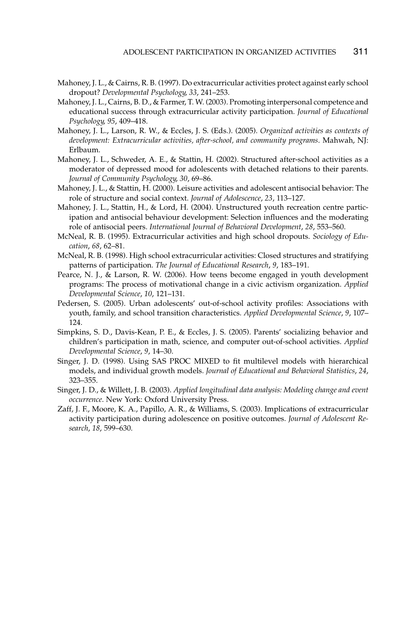- Mahoney, J. L., & Cairns, R. B. (1997). Do extracurricular activities protect against early school dropout? Developmental Psychology, 33, 241–253.
- Mahoney, J. L., Cairns, B. D., & Farmer, T. W. (2003). Promoting interpersonal competence and educational success through extracurricular activity participation. Journal of Educational Psychology, 95, 409–418.
- Mahoney, J. L., Larson, R. W., & Eccles, J. S. (Eds.). (2005). Organized activities as contexts of development: Extracurricular activities, after-school, and community programs. Mahwah, NJ: Erlbaum.
- Mahoney, J. L., Schweder, A. E., & Stattin, H. (2002). Structured after-school activities as a moderator of depressed mood for adolescents with detached relations to their parents. Journal of Community Psychology, 30, 69–86.
- Mahoney, J. L., & Stattin, H. (2000). Leisure activities and adolescent antisocial behavior: The role of structure and social context. Journal of Adolescence, 23, 113–127.
- Mahoney, J. L., Stattin, H., & Lord, H. (2004). Unstructured youth recreation centre participation and antisocial behaviour development: Selection influences and the moderating role of antisocial peers. International Journal of Behavioral Development, 28, 553–560.
- McNeal, R. B. (1995). Extracurricular activities and high school dropouts. Sociology of Education, 68, 62–81.
- McNeal, R. B. (1998). High school extracurricular activities: Closed structures and stratifying patterns of participation. The Journal of Educational Research, 9, 183–191.
- Pearce, N. J., & Larson, R. W. (2006). How teens become engaged in youth development programs: The process of motivational change in a civic activism organization. Applied Developmental Science, 10, 121–131.
- Pedersen, S. (2005). Urban adolescents' out-of-school activity profiles: Associations with youth, family, and school transition characteristics. Applied Developmental Science, 9, 107– 124.
- Simpkins, S. D., Davis-Kean, P. E., & Eccles, J. S. (2005). Parents' socializing behavior and children's participation in math, science, and computer out-of-school activities. Applied Developmental Science, 9, 14–30.
- Singer, J. D. (1998). Using SAS PROC MIXED to fit multilevel models with hierarchical models, and individual growth models. Journal of Educational and Behavioral Statistics, 24, 323–355.
- Singer, J. D., & Willett, J. B. (2003). Applied longitudinal data analysis: Modeling change and event occurrence. New York: Oxford University Press.
- Zaff, J. F., Moore, K. A., Papillo, A. R., & Williams, S. (2003). Implications of extracurricular activity participation during adolescence on positive outcomes. Journal of Adolescent Research, 18, 599–630.